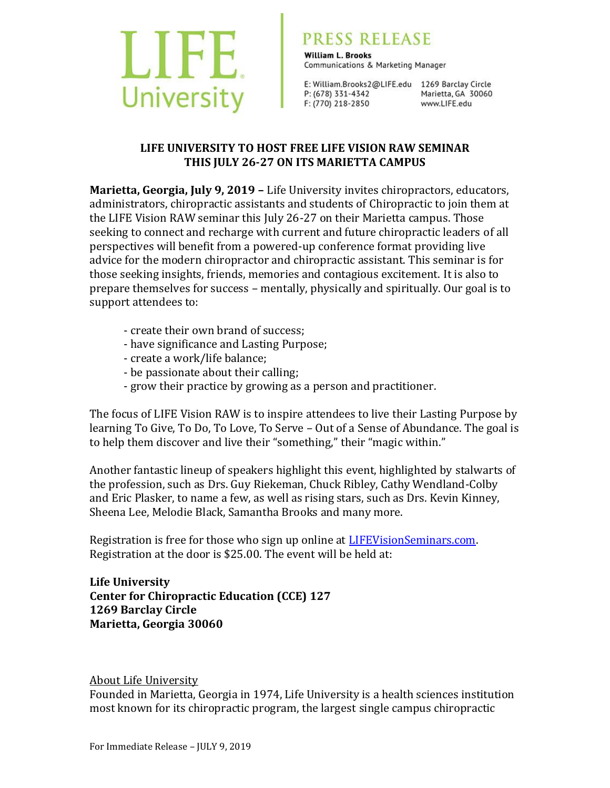

## PRESS RELEASE

**William L. Brooks** Communications & Marketing Manager

E: William.Brooks2@LIFE.edu 1269 Barclay Circle P: (678) 331-4342 F: (770) 218-2850

Marietta, GA 30060 www.LIFE.edu

## **LIFE UNIVERSITY TO HOST FREE LIFE VISION RAW SEMINAR THIS JULY 26-27 ON ITS MARIETTA CAMPUS**

**Marietta, Georgia, July 9, 2019 –** Life University invites chiropractors, educators, administrators, chiropractic assistants and students of Chiropractic to join them at the LIFE Vision RAW seminar this July 26-27 on their Marietta campus. Those seeking to connect and recharge with current and future chiropractic leaders of all perspectives will benefit from a powered-up conference format providing live advice for the modern chiropractor and chiropractic assistant. This seminar is for those seeking insights, friends, memories and contagious excitement. It is also to prepare themselves for success – mentally, physically and spiritually. Our goal is to support attendees to:

- create their own brand of success;
- have significance and Lasting Purpose;
- create a work/life balance;
- be passionate about their calling;
- grow their practice by growing as a person and practitioner.

The focus of LIFE Vision RAW is to inspire attendees to live their Lasting Purpose by learning To Give, To Do, To Love, To Serve – Out of a Sense of Abundance. The goal is to help them discover and live their "something," their "magic within."

Another fantastic lineup of speakers highlight this event, highlighted by stalwarts of the profession, such as Drs. Guy Riekeman, Chuck Ribley, Cathy Wendland-Colby and Eric Plasker, to name a few, as well as rising stars, such as Drs. Kevin Kinney, Sheena Lee, Melodie Black, Samantha Brooks and many more.

Registration is free for those who sign up online at [LIFEVisionSeminars.com.](http://www.lifevisionseminars.com/) Registration at the door is \$25.00. The event will be held at:

**Life University Center for Chiropractic Education (CCE) 127 1269 Barclay Circle Marietta, Georgia 30060**

## About Life University

Founded in Marietta, Georgia in 1974, Life University is a health sciences institution most known for its chiropractic program, the largest single campus chiropractic